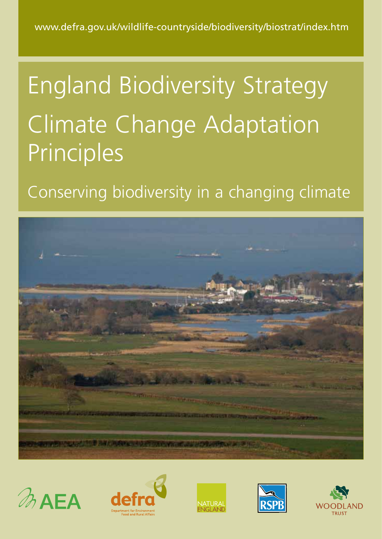# England Biodiversity Strategy Climate Change Adaptation Principles

## Conserving biodiversity in a changing climate











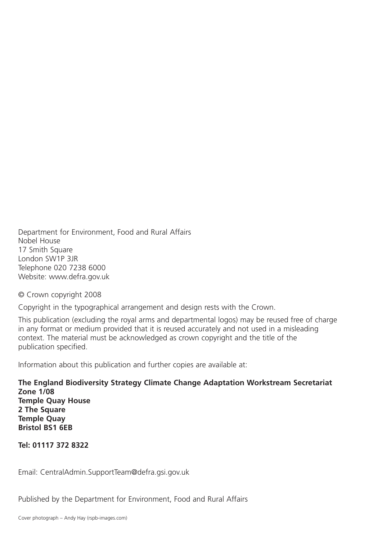Department for Environment, Food and Rural Affairs Nobel House 17 Smith Square London SW1P 3JR Telephone 020 7238 6000 Website: www.defra.gov.uk

© Crown copyright 2008

Copyright in the typographical arrangement and design rests with the Crown.

This publication (excluding the royal arms and departmental logos) may be reused free of charge in any format or medium provided that it is reused accurately and not used in a misleading context. The material must be acknowledged as crown copyright and the title of the publication specified.

Information about this publication and further copies are available at:

**The England Biodiversity Strategy Climate Change Adaptation Workstream Secretariat Zone 1/08 Temple Quay House 2 The Square Temple Quay Bristol BS1 6EB**

**Tel: 01117 372 8322**

Email: CentralAdmin.SupportTeam@defra.gsi.gov.uk

Published by the Department for Environment, Food and Rural Affairs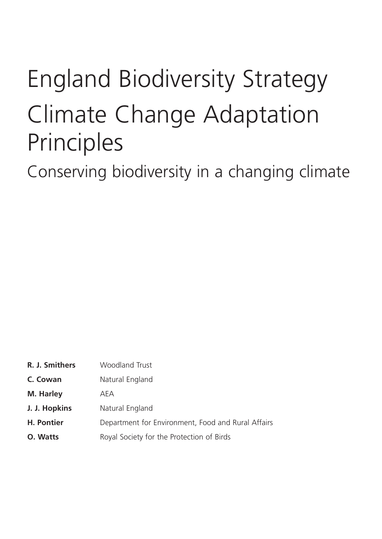## England Biodiversity Strategy Climate Change Adaptation Principles

Conserving biodiversity in a changing climate

| R. J. Smithers | Woodland Trust                                     |
|----------------|----------------------------------------------------|
| C. Cowan       | Natural England                                    |
| M. Harley      | AEA                                                |
| J. J. Hopkins  | Natural England                                    |
| H. Pontier     | Department for Environment, Food and Rural Affairs |
| O. Watts       | Royal Society for the Protection of Birds          |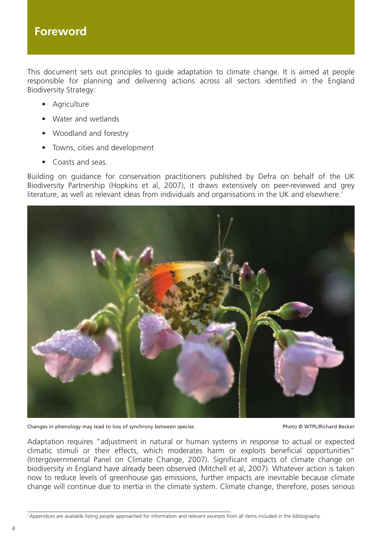This document sets out principles to guide adaptation to climate change. It is aimed at people responsible for planning and delivering actions across all sectors identified in the England Biodiversity Strategy:

- Agriculture
- Water and wetlands
- Woodland and forestry
- Towns, cities and development
- Coasts and seas.

Building on guidance for conservation practitioners published by Defra on behalf of the UK Biodiversity Partnership (Hopkins et al, 2007), it draws extensively on peer-reviewed and grey literature, as well as relevant ideas from individuals and organisations in the UK and elsewhere.<sup>1</sup>



Changes in phenology may lead to loss of synchrony between species Photo © WTPL/Richard Becker

Adaptation requires "adjustment in natural or human systems in response to actual or expected climatic stimuli or their effects, which moderates harm or exploits beneficial opportunities" (Intergovernmental Panel on Climate Change, 2007). Significant impacts of climate change on biodiversity in England have already been observed (Mitchell et al, 2007). Whatever action is taken now to reduce levels of greenhouse gas emissions, further impacts are inevitable because climate change will continue due to inertia in the climate system. Climate change, therefore, poses serious

<sup>1</sup> Appendices are available listing people approached for information and relevant excerpts from all items included in the bibliography.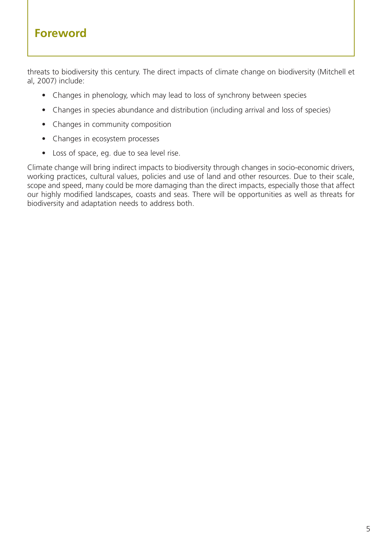### **Foreword**

threats to biodiversity this century. The direct impacts of climate change on biodiversity (Mitchell et al, 2007) include:

- Changes in phenology, which may lead to loss of synchrony between species
- Changes in species abundance and distribution (including arrival and loss of species)
- Changes in community composition
- Changes in ecosystem processes
- Loss of space, eg. due to sea level rise.

Climate change will bring indirect impacts to biodiversity through changes in socio-economic drivers, working practices, cultural values, policies and use of land and other resources. Due to their scale, scope and speed, many could be more damaging than the direct impacts, especially those that affect our highly modified landscapes, coasts and seas. There will be opportunities as well as threats for biodiversity and adaptation needs to address both.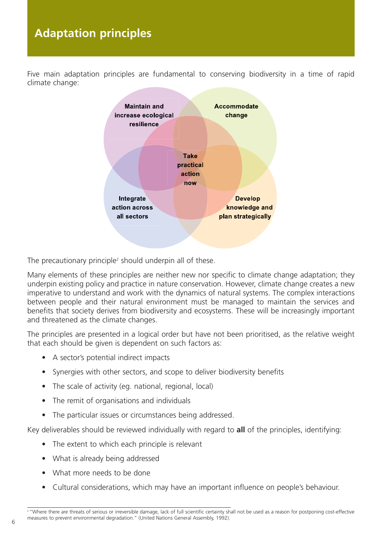## **Adaptation principles**

Five main adaptation principles are fundamental to conserving biodiversity in a time of rapid climate change:



The precautionary principle<sup> $2$ </sup> should underpin all of these.

Many elements of these principles are neither new nor specific to climate change adaptation; they underpin existing policy and practice in nature conservation. However, climate change creates a new imperative to understand and work with the dynamics of natural systems. The complex interactions between people and their natural environment must be managed to maintain the services and benefits that society derives from biodiversity and ecosystems. These will be increasingly important and threatened as the climate changes.

The principles are presented in a logical order but have not been prioritised, as the relative weight that each should be given is dependent on such factors as:

- A sector's potential indirect impacts
- Synergies with other sectors, and scope to deliver biodiversity benefits
- The scale of activity (eg. national, regional, local)
- The remit of organisations and individuals
- The particular issues or circumstances being addressed.

Key deliverables should be reviewed individually with regard to **all** of the principles, identifying:

- The extent to which each principle is relevant
- What is already being addressed
- What more needs to be done
- Cultural considerations, which may have an important influence on people's behaviour.

<sup>&</sup>lt;sup>2</sup> "Where there are threats of serious or irreversible damage, lack of full scientific certainty shall not be used as a reason for postponing cost-effective measures to prevent environmental degradation." (United Nations General Assembly, 1992).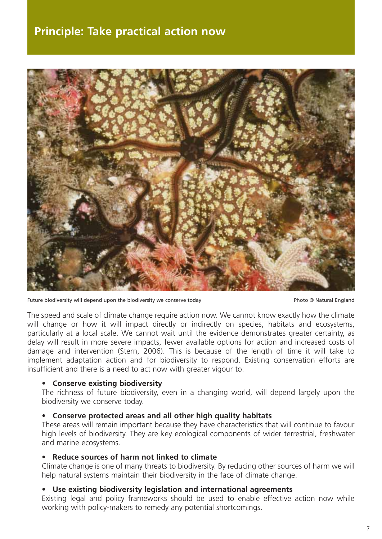### **Principle: Take practical action now**



Future biodiversity will depend upon the biodiversity we conserve today example and a photo © Natural England

The speed and scale of climate change require action now. We cannot know exactly how the climate will change or how it will impact directly or indirectly on species, habitats and ecosystems, particularly at a local scale. We cannot wait until the evidence demonstrates greater certainty, as delay will result in more severe impacts, fewer available options for action and increased costs of damage and intervention (Stern, 2006). This is because of the length of time it will take to implement adaptation action and for biodiversity to respond. Existing conservation efforts are insufficient and there is a need to act now with greater vigour to:

#### **• Conserve existing biodiversity**

The richness of future biodiversity, even in a changing world, will depend largely upon the biodiversity we conserve today.

#### **• Conserve protected areas and all other high quality habitats**

These areas will remain important because they have characteristics that will continue to favour high levels of biodiversity. They are key ecological components of wider terrestrial, freshwater and marine ecosystems.

#### **• Reduce sources of harm not linked to climate**

Climate change is one of many threats to biodiversity. By reducing other sources of harm we will help natural systems maintain their biodiversity in the face of climate change.

#### **• Use existing biodiversity legislation and international agreements**

Existing legal and policy frameworks should be used to enable effective action now while working with policy-makers to remedy any potential shortcomings.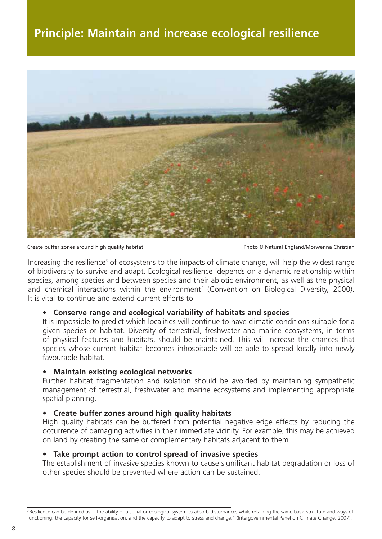## **Principle: Maintain and increase ecological resilience**



Create buffer zones around high quality habitat **Photo Create Create Constant Photo © Natural England/Morwenna Christian** 

Increasing the resilience<sup>3</sup> of ecosystems to the impacts of climate change, will help the widest range of biodiversity to survive and adapt. Ecological resilience 'depends on a dynamic relationship within species, among species and between species and their abiotic environment, as well as the physical and chemical interactions within the environment' (Convention on Biological Diversity, 2000). It is vital to continue and extend current efforts to:

#### **• Conserve range and ecological variability of habitats and species**

It is impossible to predict which localities will continue to have climatic conditions suitable for a given species or habitat. Diversity of terrestrial, freshwater and marine ecosystems, in terms of physical features and habitats, should be maintained. This will increase the chances that species whose current habitat becomes inhospitable will be able to spread locally into newly favourable habitat.

#### **• Maintain existing ecological networks**

Further habitat fragmentation and isolation should be avoided by maintaining sympathetic management of terrestrial, freshwater and marine ecosystems and implementing appropriate spatial planning.

#### **• Create buffer zones around high quality habitats**

High quality habitats can be buffered from potential negative edge effects by reducing the occurrence of damaging activities in their immediate vicinity. For example, this may be achieved on land by creating the same or complementary habitats adjacent to them.

#### **• Take prompt action to control spread of invasive species**

The establishment of invasive species known to cause significant habitat degradation or loss of other species should be prevented where action can be sustained.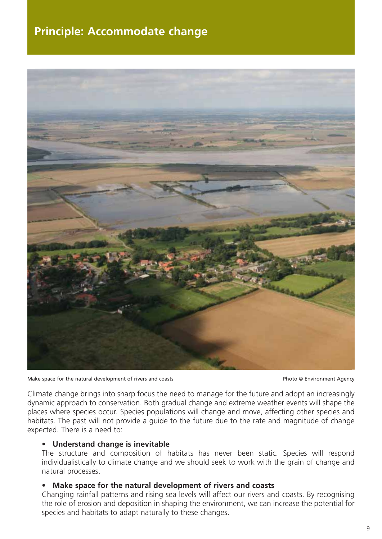## **Principle: Accommodate change**



Make space for the natural development of rivers and coasts **Photo Case Coasts** Photo © Environment Agency

Climate change brings into sharp focus the need to manage for the future and adopt an increasingly dynamic approach to conservation. Both gradual change and extreme weather events will shape the places where species occur. Species populations will change and move, affecting other species and habitats. The past will not provide a guide to the future due to the rate and magnitude of change expected. There is a need to:

#### **• Understand change is inevitable**

The structure and composition of habitats has never been static. Species will respond individualistically to climate change and we should seek to work with the grain of change and natural processes.

#### **• Make space for the natural development of rivers and coasts**

Changing rainfall patterns and rising sea levels will affect our rivers and coasts. By recognising the role of erosion and deposition in shaping the environment, we can increase the potential for species and habitats to adapt naturally to these changes.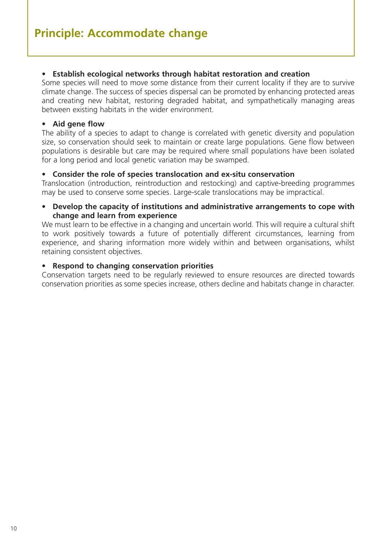#### **• Establish ecological networks through habitat restoration and creation**

Some species will need to move some distance from their current locality if they are to survive climate change. The success of species dispersal can be promoted by enhancing protected areas and creating new habitat, restoring degraded habitat, and sympathetically managing areas between existing habitats in the wider environment.

#### **• Aid gene flow**

The ability of a species to adapt to change is correlated with genetic diversity and population size, so conservation should seek to maintain or create large populations. Gene flow between populations is desirable but care may be required where small populations have been isolated for a long period and local genetic variation may be swamped.

#### **• Consider the role of species translocation and ex-situ conservation**

Translocation (introduction, reintroduction and restocking) and captive-breeding programmes may be used to conserve some species. Large-scale translocations may be impractical.

#### **• Develop the capacity of institutions and administrative arrangements to cope with change and learn from experience**

We must learn to be effective in a changing and uncertain world. This will require a cultural shift to work positively towards a future of potentially different circumstances, learning from experience, and sharing information more widely within and between organisations, whilst retaining consistent objectives.

#### **• Respond to changing conservation priorities**

Conservation targets need to be regularly reviewed to ensure resources are directed towards conservation priorities as some species increase, others decline and habitats change in character.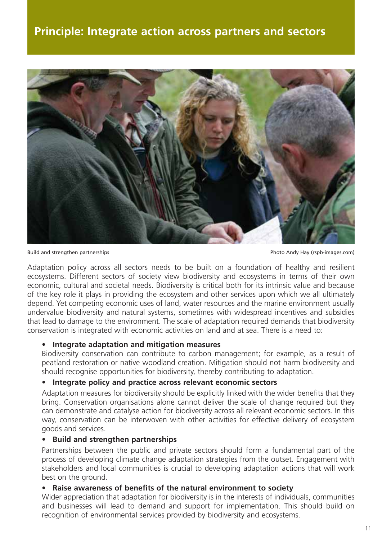

Build and strengthen partnerships **Photo Andy Hay (rspb-images.com)** Photo Andy Hay (rspb-images.com)

Adaptation policy across all sectors needs to be built on a foundation of healthy and resilient ecosystems. Different sectors of society view biodiversity and ecosystems in terms of their own economic, cultural and societal needs. Biodiversity is critical both for its intrinsic value and because of the key role it plays in providing the ecosystem and other services upon which we all ultimately depend. Yet competing economic uses of land, water resources and the marine environment usually undervalue biodiversity and natural systems, sometimes with widespread incentives and subsidies that lead to damage to the environment. The scale of adaptation required demands that biodiversity conservation is integrated with economic activities on land and at sea. There is a need to:

#### **• Integrate adaptation and mitigation measures**

Biodiversity conservation can contribute to carbon management; for example, as a result of peatland restoration or native woodland creation. Mitigation should not harm biodiversity and should recognise opportunities for biodiversity, thereby contributing to adaptation.

#### **• Integrate policy and practice across relevant economic sectors**

Adaptation measures for biodiversity should be explicitly linked with the wider benefits that they bring. Conservation organisations alone cannot deliver the scale of change required but they can demonstrate and catalyse action for biodiversity across all relevant economic sectors. In this way, conservation can be interwoven with other activities for effective delivery of ecosystem goods and services.

#### **• Build and strengthen partnerships**

Partnerships between the public and private sectors should form a fundamental part of the process of developing climate change adaptation strategies from the outset. Engagement with stakeholders and local communities is crucial to developing adaptation actions that will work best on the ground.

#### **• Raise awareness of benefits of the natural environment to society**

Wider appreciation that adaptation for biodiversity is in the interests of individuals, communities and businesses will lead to demand and support for implementation. This should build on recognition of environmental services provided by biodiversity and ecosystems.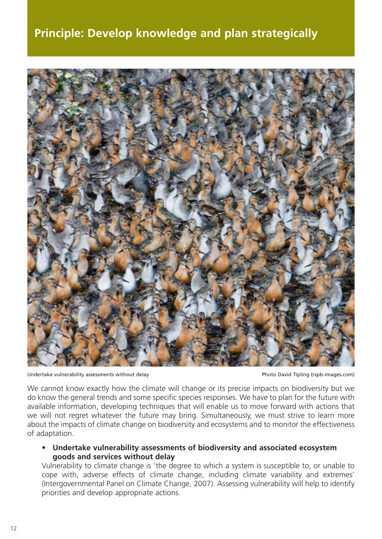## **Principle: Develop knowledge and plan strategically**



Undertake vulnerability assessments without delay example and the example of the Photo David Tipling (rspb-images.com)

We cannot know exactly how the climate will change or its precise impacts on biodiversity but we do know the general trends and some specific species responses. We have to plan for the future with available information, developing techniques that will enable us to move forward with actions that we will not regret whatever the future may bring. Simultaneously, we must strive to learn more about the impacts of climate change on biodiversity and ecosystems and to monitor the effectiveness of adaptation.

**• Undertake vulnerability assessments of biodiversity and associated ecosystem goods and services without delay**

Vulnerability to climate change is 'the degree to which a system is susceptible to, or unable to cope with, adverse effects of climate change, including climate variability and extremes' (Intergovernmental Panel on Climate Change, 2007). Assessing vulnerability will help to identify priorities and develop appropriate actions.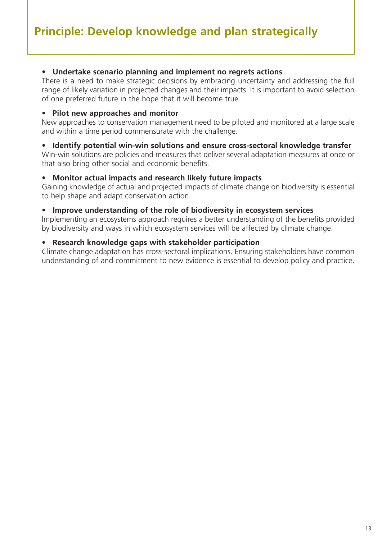#### **• Undertake scenario planning and implement no regrets actions**

There is a need to make strategic decisions by embracing uncertainty and addressing the full range of likely variation in projected changes and their impacts. It is important to avoid selection of one preferred future in the hope that it will become true.

#### **• Pilot new approaches and monitor**

New approaches to conservation management need to be piloted and monitored at a large scale and within a time period commensurate with the challenge.

#### **• Identify potential win-win solutions and ensure cross-sectoral knowledge transfer**

Win-win solutions are policies and measures that deliver several adaptation measures at once or that also bring other social and economic benefits.

#### **• Monitor actual impacts and research likely future impacts**

Gaining knowledge of actual and projected impacts of climate change on biodiversity is essential to help shape and adapt conservation action.

#### **• Improve understanding of the role of biodiversity in ecosystem services**

Implementing an ecosystems approach requires a better understanding of the benefits provided by biodiversity and ways in which ecosystem services will be affected by climate change.

#### **• Research knowledge gaps with stakeholder participation**

Climate change adaptation has cross-sectoral implications. Ensuring stakeholders have common understanding of and commitment to new evidence is essential to develop policy and practice.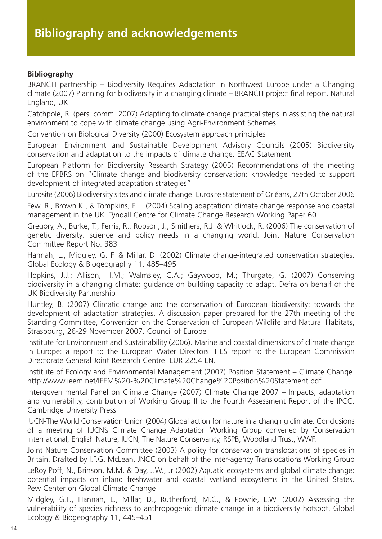#### **Bibliography**

BRANCH partnership – Biodiversity Requires Adaptation in Northwest Europe under a Changing climate (2007) Planning for biodiversity in a changing climate – BRANCH project final report. Natural England, UK.

Catchpole, R. (pers. comm. 2007) Adapting to climate change practical steps in assisting the natural environment to cope with climate change using Agri-Environment Schemes

Convention on Biological Diversity (2000) Ecosystem approach principles

European Environment and Sustainable Development Advisory Councils (2005) Biodiversity conservation and adaptation to the impacts of climate change. EEAC Statement

European Platform for Biodiversity Research Strategy (2005) Recommendations of the meeting of the EPBRS on "Climate change and biodiversity conservation: knowledge needed to support development of integrated adaptation strategies"

Eurosite (2006) Biodiversity sites and climate change: Eurosite statement of Orléans, 27th October 2006

Few, R., Brown K., & Tompkins, E.L. (2004) Scaling adaptation: climate change response and coastal management in the UK. Tyndall Centre for Climate Change Research Working Paper 60

Gregory, A., Burke, T., Ferris, R., Robson, J., Smithers, R.J. & Whitlock, R. (2006) The conservation of genetic diversity: science and policy needs in a changing world. Joint Nature Conservation Committee Report No. 383

Hannah, L., Midgley, G. F. & Millar, D. (2002) Climate change-integrated conservation strategies. Global Ecology & Biogeography 11, 485–495

Hopkins, J.J.; Allison, H.M.; Walmsley, C.A.; Gaywood, M.; Thurgate, G. (2007) Conserving biodiversity in a changing climate: guidance on building capacity to adapt. Defra on behalf of the UK Biodiversity Partnership

Huntley, B. (2007) Climatic change and the conservation of European biodiversity: towards the development of adaptation strategies. A discussion paper prepared for the 27th meeting of the Standing Committee, Convention on the Conservation of European Wildlife and Natural Habitats, Strasbourg, 26-29 November 2007. Council of Europe

Institute for Environment and Sustainability (2006). Marine and coastal dimensions of climate change in Europe: a report to the European Water Directors. IFES report to the European Commission Directorate General Joint Research Centre. EUR 2254 EN.

Institute of Ecology and Environmental Management (2007) Position Statement – Climate Change. http://www.ieem.net/IEEM%20-%20Climate%20Change%20Position%20Statement.pdf

Intergovernmental Panel on Climate Change (2007) Climate Change 2007 – Impacts, adaptation and vulnerability, contribution of Working Group II to the Fourth Assessment Report of the IPCC. Cambridge University Press

IUCN-The World Conservation Union (2004) Global action for nature in a changing climate. Conclusions of a meeting of IUCN's Climate Change Adaptation Working Group convened by Conservation International, English Nature, IUCN, The Nature Conservancy, RSPB, Woodland Trust, WWF.

Joint Nature Conservation Committee (2003) A policy for conservation translocations of species in Britain. Drafted by I.F.G. McLean, JNCC on behalf of the Inter-agency Translocations Working Group

LeRoy Poff, N., Brinson, M.M. & Day, J.W., Jr (2002) Aquatic ecosystems and global climate change: potential impacts on inland freshwater and coastal wetland ecosystems in the United States. Pew Center on Global Climate Change

Midgley, G.F., Hannah, L., Millar, D., Rutherford, M.C., & Powrie, L.W. (2002) Assessing the vulnerability of species richness to anthropogenic climate change in a biodiversity hotspot. Global Ecology & Biogeography 11, 445–451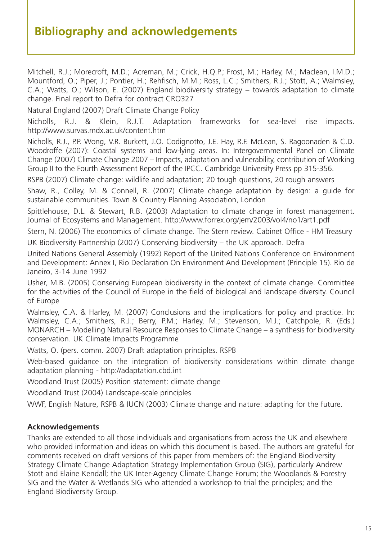## **Bibliography and acknowledgements**

Mitchell, R.J.; Morecroft, M.D.; Acreman, M.; Crick, H.Q.P.; Frost, M.; Harley, M.; Maclean, I.M.D.; Mountford, O.; Piper, J.; Pontier, H.; Rehfisch, M.M.; Ross, L.C.; Smithers, R.J.; Stott, A.; Walmsley, C.A.; Watts, O.; Wilson, E. (2007) England biodiversity strategy – towards adaptation to climate change. Final report to Defra for contract CRO327

Natural England (2007) Draft Climate Change Policy

Nicholls, R.J. & Klein, R.J.T. Adaptation frameworks for sea-level rise impacts. http://www.survas.mdx.ac.uk/content.htm

Nicholls, R.J., P.P. Wong, V.R. Burkett, J.O. Codignotto, J.E. Hay, R.F. McLean, S. Ragoonaden & C.D. Woodroffe (2007): Coastal systems and low-lying areas. In: Intergovernmental Panel on Climate Change (2007) Climate Change 2007 – Impacts, adaptation and vulnerability, contribution of Working Group II to the Fourth Assessment Report of the IPCC. Cambridge University Press pp 315-356.

RSPB (2007) Climate change: wildlife and adaptation; 20 tough questions, 20 rough answers

Shaw, R., Colley, M. & Connell, R. (2007) Climate change adaptation by design: a guide for sustainable communities. Town & Country Planning Association, London

Spittlehouse, D.L. & Stewart, R.B. (2003) Adaptation to climate change in forest management. Journal of Ecosystems and Management. http://www.forrex.org/jem/2003/vol4/no1/art1.pdf

Stern, N. (2006) The economics of climate change. The Stern review. Cabinet Office - HM Treasury UK Biodiversity Partnership (2007) Conserving biodiversity – the UK approach. Defra

United Nations General Assembly (1992) Report of the United Nations Conference on Environment and Development: Annex I, Rio Declaration On Environment And Development (Principle 15). Rio de Janeiro, 3-14 June 1992

Usher, M.B. (2005) Conserving European biodiversity in the context of climate change. Committee for the activities of the Council of Europe in the field of biological and landscape diversity. Council of Europe

Walmsley, C.A. & Harley, M. (2007) Conclusions and the implications for policy and practice. In: Walmsley, C.A.; Smithers, R.J.; Berry, P.M.; Harley, M.; Stevenson, M.J.; Catchpole, R. (Eds.) MONARCH – Modelling Natural Resource Responses to Climate Change – a synthesis for biodiversity conservation. UK Climate Impacts Programme

Watts, O. (pers. comm. 2007) Draft adaptation principles. RSPB

Web-based guidance on the integration of biodiversity considerations within climate change adaptation planning - http://adaptation.cbd.int

Woodland Trust (2005) Position statement: climate change

Woodland Trust (2004) Landscape-scale principles

WWF, English Nature, RSPB & IUCN (2003) Climate change and nature: adapting for the future.

#### **Acknowledgements**

Thanks are extended to all those individuals and organisations from across the UK and elsewhere who provided information and ideas on which this document is based. The authors are grateful for comments received on draft versions of this paper from members of: the England Biodiversity Strategy Climate Change Adaptation Strategy Implementation Group (SIG), particularly Andrew Stott and Elaine Kendall; the UK Inter-Agency Climate Change Forum; the Woodlands & Forestry SIG and the Water & Wetlands SIG who attended a workshop to trial the principles; and the England Biodiversity Group.